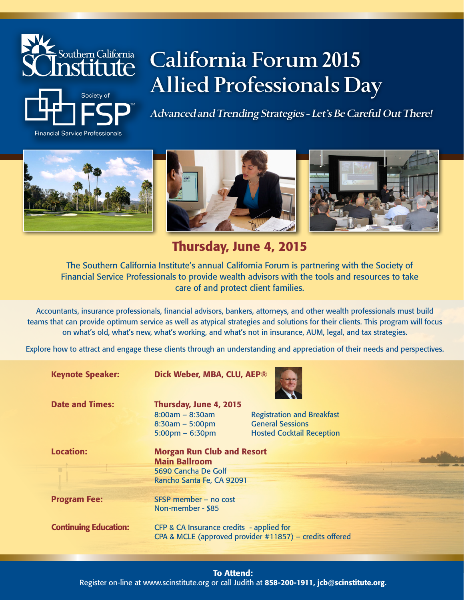

**Financial Service Professionals** 



**Advanced and Trending Strategies - Let's Be Careful Out There!**







Thursday, June 4, 2015

The Southern California Institute's annual California Forum is partnering with the Society of Financial Service Professionals to provide wealth advisors with the tools and resources to take care of and protect client families.

Accountants, insurance professionals, financial advisors, bankers, attorneys, and other wealth professionals must build teams that can provide optimum service as well as atypical strategies and solutions for their clients. This program will focus on what's old, what's new, what's working, and what's not in insurance, AUM, legal, and tax strategies.

Explore how to attract and engage these clients through an understanding and appreciation of their needs and perspectives.

Keynote Speaker: Dick Weber, MBA, CLU, AEP®

Date and Times: Thursday, June 4, 2015

8:30am – 5:00pm General Sessions

8:00am – 8:30am Registration and Breakfast 5:00pm – 6:30pm Hosted Cocktail Reception

Location: Morgan Run Club and Resort Main Ballroom 5690 Cancha De Golf Rancho Santa Fe, CA 92091

Program Fee: SFSP member – no cost Non-member - \$85

**Continuing Education:** CFP & CA Insurance credits - applied for CPA & MCLE (approved provider #11857) – credits offered

# To Attend: Register on-line at www.scinstitute.org or call Judith at 858-200-1911, jcb@scinstitute.org.